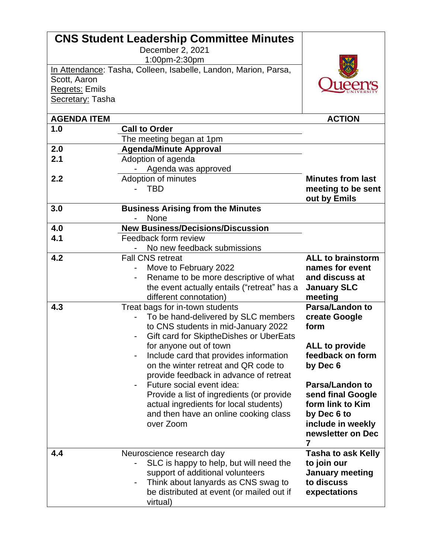|                           | <b>CNS Student Leadership Committee Minutes</b>                 |                           |
|---------------------------|-----------------------------------------------------------------|---------------------------|
|                           | December 2, 2021                                                |                           |
|                           | 1:00pm-2:30pm                                                   |                           |
|                           | In Attendance: Tasha, Colleen, Isabelle, Landon, Marion, Parsa, |                           |
| Scott, Aaron              |                                                                 |                           |
| Regrets: Emils            |                                                                 |                           |
| Secretary: Tasha          |                                                                 |                           |
|                           |                                                                 |                           |
| <b>AGENDA ITEM</b><br>1.0 | <b>Call to Order</b>                                            | <b>ACTION</b>             |
|                           |                                                                 |                           |
| 2.0                       | The meeting began at 1pm                                        |                           |
| 2.1                       | <b>Agenda/Minute Approval</b>                                   |                           |
|                           | Adoption of agenda                                              |                           |
|                           | Agenda was approved                                             |                           |
| 2.2                       | Adoption of minutes                                             | <b>Minutes from last</b>  |
|                           | <b>TBD</b>                                                      | meeting to be sent        |
| 3.0                       |                                                                 | out by Emils              |
|                           | <b>Business Arising from the Minutes</b><br>None                |                           |
| 4.0                       | <b>New Business/Decisions/Discussion</b>                        |                           |
| 4.1                       | Feedback form review                                            |                           |
|                           | No new feedback submissions                                     |                           |
| 4.2                       | <b>Fall CNS retreat</b>                                         | <b>ALL to brainstorm</b>  |
|                           | Move to February 2022                                           | names for event           |
|                           | Rename to be more descriptive of what                           | and discuss at            |
|                           | the event actually entails ("retreat" has a                     | <b>January SLC</b>        |
|                           | different connotation)                                          | meeting                   |
| 4.3                       | Treat bags for in-town students                                 | <b>Parsa/Landon to</b>    |
|                           | To be hand-delivered by SLC members                             | create Google             |
|                           | to CNS students in mid-January 2022                             | form                      |
|                           | Gift card for SkiptheDishes or UberEats                         |                           |
|                           | for anyone out of town                                          | <b>ALL to provide</b>     |
|                           | Include card that provides information                          | feedback on form          |
|                           | on the winter retreat and QR code to                            | by Dec 6                  |
|                           | provide feedback in advance of retreat                          |                           |
|                           | Future social event idea:                                       | <b>Parsa/Landon to</b>    |
|                           | Provide a list of ingredients (or provide                       | send final Google         |
|                           | actual ingredients for local students)                          | form link to Kim          |
|                           | and then have an online cooking class                           | by Dec 6 to               |
|                           | over Zoom                                                       | include in weekly         |
|                           |                                                                 | newsletter on Dec         |
|                           |                                                                 | 7                         |
| 4.4                       | Neuroscience research day                                       | <b>Tasha to ask Kelly</b> |
|                           | SLC is happy to help, but will need the                         | to join our               |
|                           | support of additional volunteers                                | <b>January meeting</b>    |
|                           | Think about lanyards as CNS swag to                             | to discuss                |
|                           | be distributed at event (or mailed out if                       | expectations              |
|                           | virtual)                                                        |                           |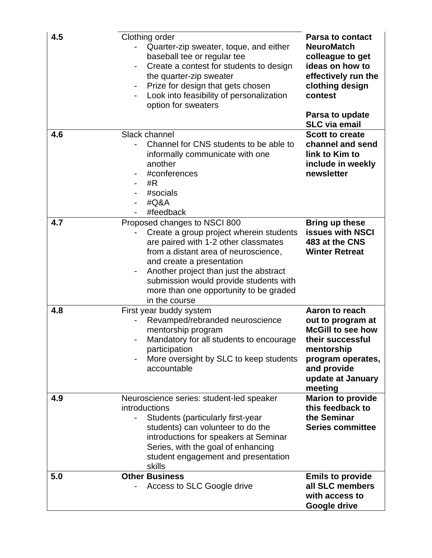| 4.5 | Clothing order<br>Quarter-zip sweater, toque, and either<br>baseball tee or regular tee<br>Create a contest for students to design<br>the quarter-zip sweater<br>Prize for design that gets chosen<br>Look into feasibility of personalization<br>option for sweaters                                                                    | <b>Parsa to contact</b><br><b>NeuroMatch</b><br>colleague to get<br>ideas on how to<br>effectively run the<br>clothing design<br>contest<br>Parsa to update<br><b>SLC via email</b> |
|-----|------------------------------------------------------------------------------------------------------------------------------------------------------------------------------------------------------------------------------------------------------------------------------------------------------------------------------------------|-------------------------------------------------------------------------------------------------------------------------------------------------------------------------------------|
| 4.6 | Slack channel<br>Channel for CNS students to be able to<br>informally communicate with one<br>another<br>#conferences<br>-<br>#R<br>#socials<br>#Q&A<br>#feedback                                                                                                                                                                        | <b>Scott to create</b><br>channel and send<br>link to Kim to<br>include in weekly<br>newsletter                                                                                     |
| 4.7 | Proposed changes to NSCI 800<br>Create a group project wherein students<br>are paired with 1-2 other classmates<br>from a distant area of neuroscience,<br>and create a presentation<br>Another project than just the abstract<br>-<br>submission would provide students with<br>more than one opportunity to be graded<br>in the course | <b>Bring up these</b><br><b>issues with NSCI</b><br>483 at the CNS<br><b>Winter Retreat</b>                                                                                         |
| 4.8 | First year buddy system<br>Revamped/rebranded neuroscience<br>mentorship program<br>Mandatory for all students to encourage<br>participation<br>More oversight by SLC to keep students<br>accountable                                                                                                                                    | Aaron to reach<br>out to program at<br><b>McGill to see how</b><br>their successful<br>mentorship<br>program operates,<br>and provide<br>update at January<br>meeting               |
| 4.9 | Neuroscience series: student-led speaker<br>introductions<br>Students (particularly first-year<br>students) can volunteer to do the<br>introductions for speakers at Seminar<br>Series, with the goal of enhancing<br>student engagement and presentation<br>skills                                                                      | <b>Marion to provide</b><br>this feedback to<br>the Seminar<br><b>Series committee</b>                                                                                              |
| 5.0 | <b>Other Business</b><br>Access to SLC Google drive                                                                                                                                                                                                                                                                                      | <b>Emils to provide</b><br>all SLC members<br>with access to<br>Google drive                                                                                                        |